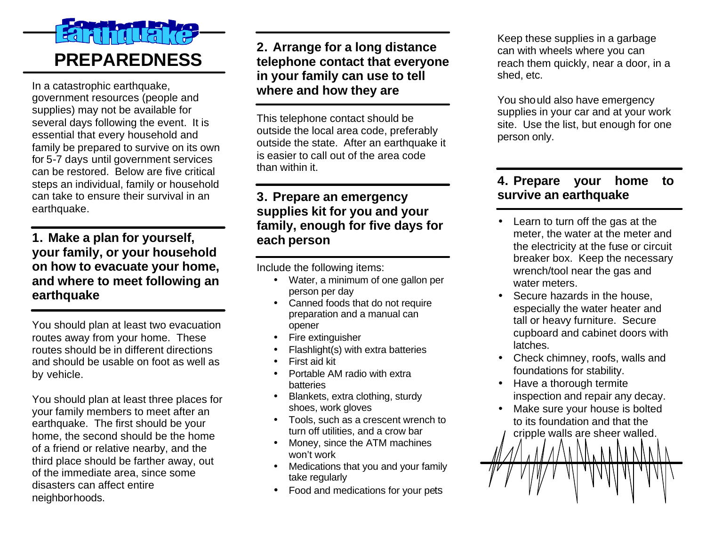# $\overline{a}$ **PREPAREDNESS**

In a catastrophic earthquake, government resources (people and supplies) may not be available for several days following the event. It is essential that every household and family be prepared to survive on its own for 5-7 days until government services can be restored. Below are five critical steps an individual, family or household can take to ensure their survival in an earthquake.

#### **1. Make a plan for yourself, your family, or your household on how to evacuate your home, and where to meet following an earthquake**

You should plan at least two evacuation routes away from your home. These routes should be in different directions and should be usable on foot as well as by vehicle.

You should plan at least three places for your family members to meet after an earthquake. The first should be your home, the second should be the home of a friend or relative nearby, and the third place should be farther away, out of the immediate area, since some disasters can affect entire neighborhoods.

### **2. Arrange for a long distance telephone contact that everyone in your family can use to tell where and how they are**

This telephone contact should be outside the local area code, preferably outside the state. After an earthquake it is easier to call out of the area code than within it.

#### **3. Prepare an emergency supplies kit for you and your family, enough for five days for each person**

Include the following items:

- Water, a minimum of one gallon per person per day
- Canned foods that do not require preparation and a manual can opener
- Fire extinguisher
- Flashlight(s) with extra batteries
- First aid kit
- Portable AM radio with extra batteries
- Blankets, extra clothing, sturdy shoes, work gloves
- Tools, such as a crescent wrench to turn off utilities, and a crow bar
- Money, since the ATM machines won't work
- Medications that you and your family take regularly
- Food and medications for your pets

Keep these supplies in a garbage can with wheels where you can reach them quickly, near a door, in a shed, etc.

You should also have emergency supplies in your car and at your work site. Use the list, but enough for one person only.

#### **4. Prepare your home to survive an earthquake**

- Learn to turn off the gas at the meter, the water at the meter and the electricity at the fuse or circuit breaker box. Keep the necessary wrench/tool near the gas and water meters.
- Secure hazards in the house. especially the water heater and tall or heavy furniture. Secure cupboard and cabinet doors with latches.
- Check chimney, roofs, walls and foundations for stability.
- Have a thorough termite inspection and repair any decay.
- Make sure your house is bolted to its foundation and that the cripple walls are sheer walled.